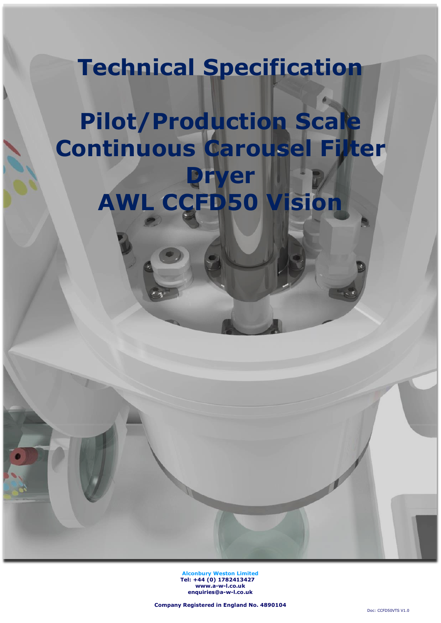## **Technical Specification**

# **Pilot/Production Scale Continuous Carousel Filter Dryer AWL CCFD50 Vision**

**Alconbury Weston Limited Tel: +44 (0) 1782413427 [www.a-w-l.co.uk](http://www.a-w-l.co.uk/) enquiries@a-w-l.co.uk**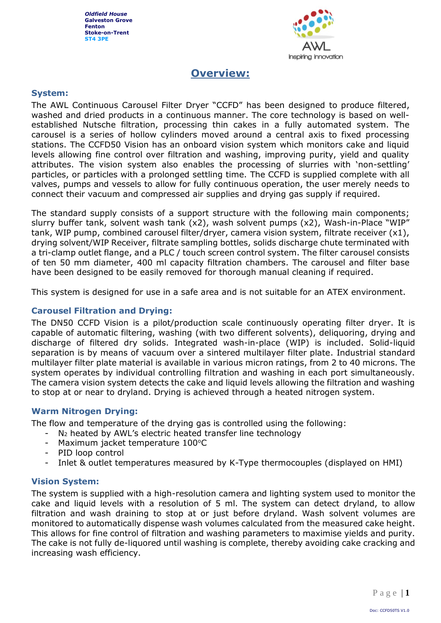

## **Overview:**

#### **System:**

The AWL Continuous Carousel Filter Dryer "CCFD" has been designed to produce filtered, washed and dried products in a continuous manner. The core technology is based on wellestablished Nutsche filtration, processing thin cakes in a fully automated system. The carousel is a series of hollow cylinders moved around a central axis to fixed processing stations. The CCFD50 Vision has an onboard vision system which monitors cake and liquid levels allowing fine control over filtration and washing, improving purity, yield and quality attributes. The vision system also enables the processing of slurries with 'non-settling' particles, or particles with a prolonged settling time. The CCFD is supplied complete with all valves, pumps and vessels to allow for fully continuous operation, the user merely needs to connect their vacuum and compressed air supplies and drying gas supply if required.

The standard supply consists of a support structure with the following main components; slurry buffer tank, solvent wash tank (x2), wash solvent pumps (x2), Wash-in-Place "WIP" tank, WIP pump, combined carousel filter/dryer, camera vision system, filtrate receiver (x1), drying solvent/WIP Receiver, filtrate sampling bottles, solids discharge chute terminated with a tri-clamp outlet flange, and a PLC / touch screen control system. The filter carousel consists of ten 50 mm diameter, 400 ml capacity filtration chambers. The carousel and filter base have been designed to be easily removed for thorough manual cleaning if required.

This system is designed for use in a safe area and is not suitable for an ATEX environment.

#### **Carousel Filtration and Drying:**

The DN50 CCFD Vision is a pilot/production scale continuously operating filter dryer. It is capable of automatic filtering, washing (with two different solvents), deliquoring, drying and discharge of filtered dry solids. Integrated wash-in-place (WIP) is included. Solid-liquid separation is by means of vacuum over a sintered multilayer filter plate. Industrial standard multilayer filter plate material is available in various micron ratings, from 2 to 40 microns. The system operates by individual controlling filtration and washing in each port simultaneously. The camera vision system detects the cake and liquid levels allowing the filtration and washing to stop at or near to dryland. Drying is achieved through a heated nitrogen system.

#### **Warm Nitrogen Drying:**

The flow and temperature of the drying gas is controlled using the following:

- $N<sub>2</sub>$  heated by AWL's electric heated transfer line technology
- Maximum jacket temperature 100°C
- PID loop control
- Inlet & outlet temperatures measured by K-Type thermocouples (displayed on HMI)

#### **Vision System:**

The system is supplied with a high-resolution camera and lighting system used to monitor the cake and liquid levels with a resolution of 5 ml. The system can detect dryland, to allow filtration and wash draining to stop at or just before dryland. Wash solvent volumes are monitored to automatically dispense wash volumes calculated from the measured cake height. This allows for fine control of filtration and washing parameters to maximise yields and purity. The cake is not fully de-liquored until washing is complete, thereby avoiding cake cracking and increasing wash efficiency.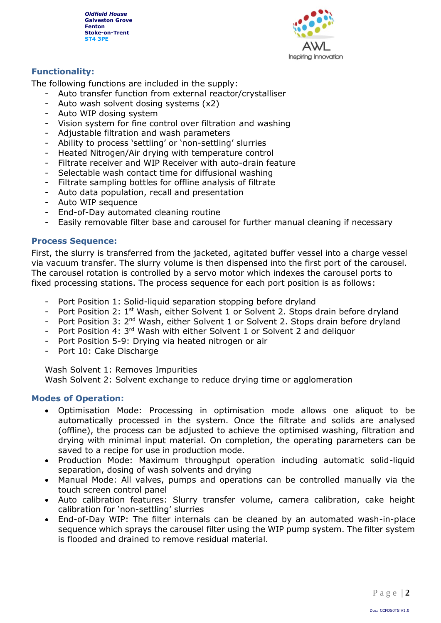

#### **Functionality:**

The following functions are included in the supply:

- Auto transfer function from external reactor/crystalliser
- Auto wash solvent dosing systems (x2)
- Auto WIP dosing system
- Vision system for fine control over filtration and washing
- Adjustable filtration and wash parameters
- Ability to process 'settling' or 'non-settling' slurries
- Heated Nitrogen/Air drying with temperature control
- Filtrate receiver and WIP Receiver with auto-drain feature
- Selectable wash contact time for diffusional washing
- Filtrate sampling bottles for offline analysis of filtrate
- Auto data population, recall and presentation
- Auto WIP sequence
- End-of-Day automated cleaning routine
- Easily removable filter base and carousel for further manual cleaning if necessary

#### **Process Sequence:**

First, the slurry is transferred from the jacketed, agitated buffer vessel into a charge vessel via vacuum transfer. The slurry volume is then dispensed into the first port of the carousel. The carousel rotation is controlled by a servo motor which indexes the carousel ports to fixed processing stations. The process sequence for each port position is as follows:

- Port Position 1: Solid-liquid separation stopping before dryland
- Port Position 2: 1<sup>st</sup> Wash, either Solvent 1 or Solvent 2. Stops drain before dryland
- Port Position 3: 2<sup>nd</sup> Wash, either Solvent 1 or Solvent 2. Stops drain before dryland
- Port Position 4: 3<sup>rd</sup> Wash with either Solvent 1 or Solvent 2 and deliquor
- Port Position 5-9: Drying via heated nitrogen or air
- Port 10: Cake Discharge

Wash Solvent 1: Removes Impurities

Wash Solvent 2: Solvent exchange to reduce drying time or agglomeration

#### **Modes of Operation:**

- Optimisation Mode: Processing in optimisation mode allows one aliquot to be automatically processed in the system. Once the filtrate and solids are analysed (offline), the process can be adjusted to achieve the optimised washing, filtration and drying with minimal input material. On completion, the operating parameters can be saved to a recipe for use in production mode.
- Production Mode: Maximum throughput operation including automatic solid-liquid separation, dosing of wash solvents and drying
- Manual Mode: All valves, pumps and operations can be controlled manually via the touch screen control panel
- Auto calibration features: Slurry transfer volume, camera calibration, cake height calibration for 'non-settling' slurries
- End-of-Day WIP: The filter internals can be cleaned by an automated wash-in-place sequence which sprays the carousel filter using the WIP pump system. The filter system is flooded and drained to remove residual material.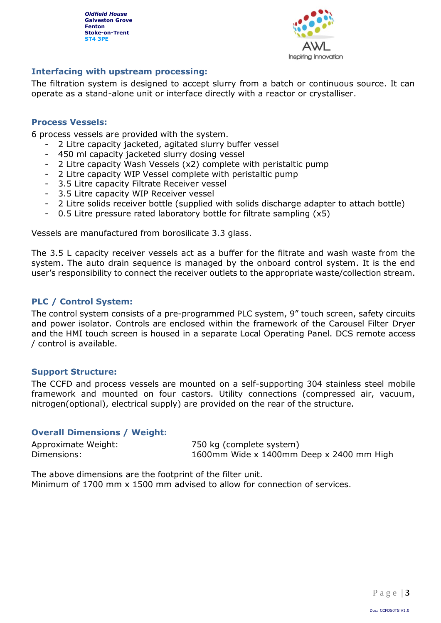

#### **Interfacing with upstream processing:**

The filtration system is designed to accept slurry from a batch or continuous source. It can operate as a stand-alone unit or interface directly with a reactor or crystalliser.

#### **Process Vessels:**

6 process vessels are provided with the system.

- 2 Litre capacity jacketed, agitated slurry buffer vessel
- 450 ml capacity jacketed slurry dosing vessel
- 2 Litre capacity Wash Vessels (x2) complete with peristaltic pump
- 2 Litre capacity WIP Vessel complete with peristaltic pump
- 3.5 Litre capacity Filtrate Receiver vessel
- 3.5 Litre capacity WIP Receiver vessel
- 2 Litre solids receiver bottle (supplied with solids discharge adapter to attach bottle)
- 0.5 Litre pressure rated laboratory bottle for filtrate sampling  $(x5)$

Vessels are manufactured from borosilicate 3.3 glass.

The 3.5 L capacity receiver vessels act as a buffer for the filtrate and wash waste from the system. The auto drain sequence is managed by the onboard control system. It is the end user's responsibility to connect the receiver outlets to the appropriate waste/collection stream.

#### **PLC / Control System:**

The control system consists of a pre-programmed PLC system, 9" touch screen, safety circuits and power isolator. Controls are enclosed within the framework of the Carousel Filter Dryer and the HMI touch screen is housed in a separate Local Operating Panel. DCS remote access / control is available.

#### **Support Structure:**

The CCFD and process vessels are mounted on a self-supporting 304 stainless steel mobile framework and mounted on four castors. Utility connections (compressed air, vacuum, nitrogen(optional), electrical supply) are provided on the rear of the structure.

#### **Overall Dimensions / Weight:**

Approximate Weight: 750 kg (complete system) Dimensions: 1600mm Wide x 1400mm Deep x 2400 mm High

The above dimensions are the footprint of the filter unit. Minimum of 1700 mm x 1500 mm advised to allow for connection of services.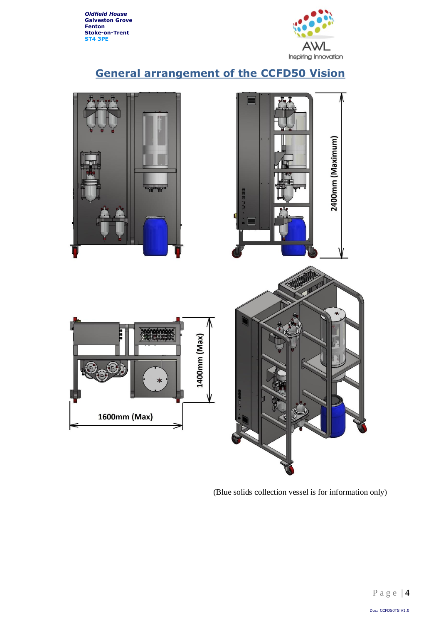

## **General arrangement of the CCFD50 Vision**



(Blue solids collection vessel is for information only)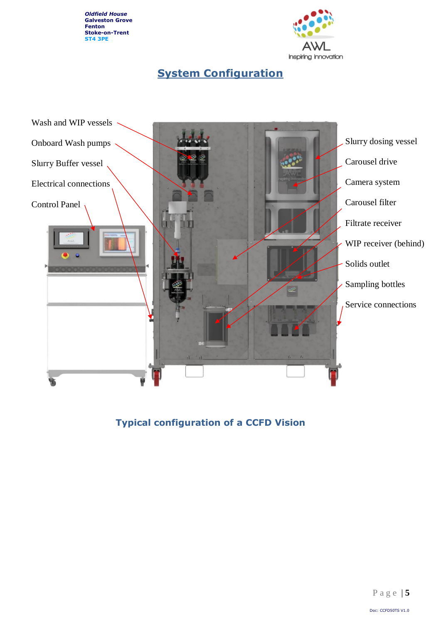

## **System Configuration**



**Typical configuration of a CCFD Vision**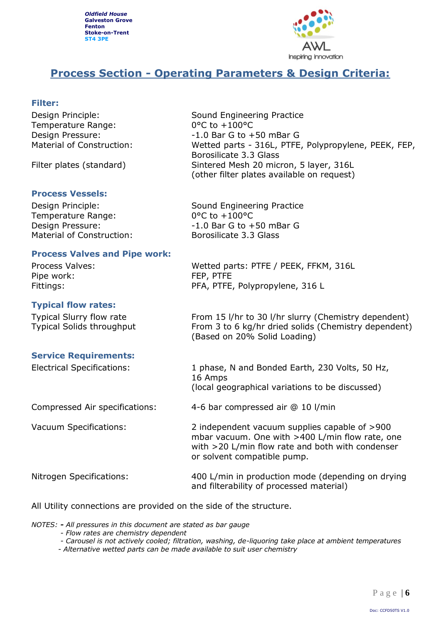

## **Process Section - Operating Parameters & Design Criteria:**

#### **Filter:**

Temperature Range: 0°C to +100°C

#### **Process Vessels:**

Temperature Range: 0°C to +100°C Material of Construction: Borosilicate 3.3 Glass

#### **Process Valves and Pipe work:**

Pipe work: FEP, PTFE

#### **Typical flow rates:**

#### **Service Requirements:**

Design Principle: Sound Engineering Practice Design Pressure:  $-1.0$  Bar G to +50 mBar G Material of Construction: Wetted parts - 316L, PTFE, Polypropylene, PEEK, FEP, Borosilicate 3.3 Glass Filter plates (standard) Sintered Mesh 20 micron, 5 layer, 316L (other filter plates available on request)

Design Principle: Sound Engineering Practice Design Pressure:  $-1.0$  Bar G to +50 mBar G

Process Valves: Wetted parts: PTFE / PEEK, FFKM, 316L Fittings: The PFA, PTFE, Polypropylene, 316 L

Typical Slurry flow rate From 15 l/hr to 30 l/hr slurry (Chemistry dependent) Typical Solids throughput From 3 to 6 kg/hr dried solids (Chemistry dependent) (Based on 20% Solid Loading)

Electrical Specifications: 1 phase, N and Bonded Earth, 230 Volts, 50 Hz, 16 Amps (local geographical variations to be discussed)

Compressed Air specifications: 4-6 bar compressed air @ 10 l/min

Vacuum Specifications: 2 independent vacuum supplies capable of >900

Nitrogen Specifications: 400 L/min in production mode (depending on drying and filterability of processed material)

mbar vacuum. One with >400 L/min flow rate, one with >20 L/min flow rate and both with condenser

All Utility connections are provided on the side of the structure.

*NOTES: - All pressures in this document are stated as bar gauge*

- *- Flow rates are chemistry dependent*
- *- Carousel is not actively cooled; filtration, washing, de-liquoring take place at ambient temperatures*

or solvent compatible pump.

*- Alternative wetted parts can be made available to suit user chemistry*